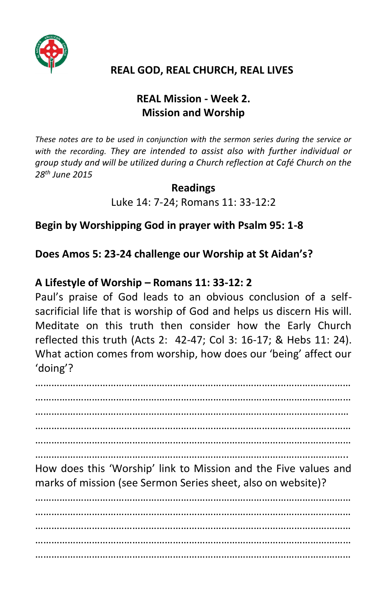

### **REAL GOD, REAL CHURCH, REAL LIVES**

## **REAL Mission - Week 2. Mission and Worship**

*These notes are to be used in conjunction with the sermon series during the service or with the recording. They are intended to assist also with further individual or group study and will be utilized during a Church reflection at Café Church on the 28th June 2015*

#### **Readings**

Luke 14: 7-24; Romans 11: 33-12:2

**Begin by Worshipping God in prayer with Psalm 95: 1-8**

**Does Amos 5: 23-24 challenge our Worship at St Aidan's?**

#### **A Lifestyle of Worship – Romans 11: 33-12: 2**

Paul's praise of God leads to an obvious conclusion of a selfsacrificial life that is worship of God and helps us discern His will. Meditate on this truth then consider how the Early Church reflected this truth (Acts 2: 42-47; Col 3: 16-17; & Hebs 11: 24). What action comes from worship, how does our 'being' affect our 'doing'?

……………………………………………………………………………………………………… ……………………………………………………………………………………………………… …………………………………………………………………………………………………..… ……………………………………………………………………………………………………… ……………………………………………………………………………………………………… ……………………………………………………………………………………………………..

How does this 'Worship' link to Mission and the Five values and marks of mission (see Sermon Series sheet, also on website)?

……………………………………………………………………………………………………… ……………………………………………………………………………………………………… ……………………………………………………………………………………………………… ……………………………………………………………………………………………………… ………………………………………………………………………………………………………